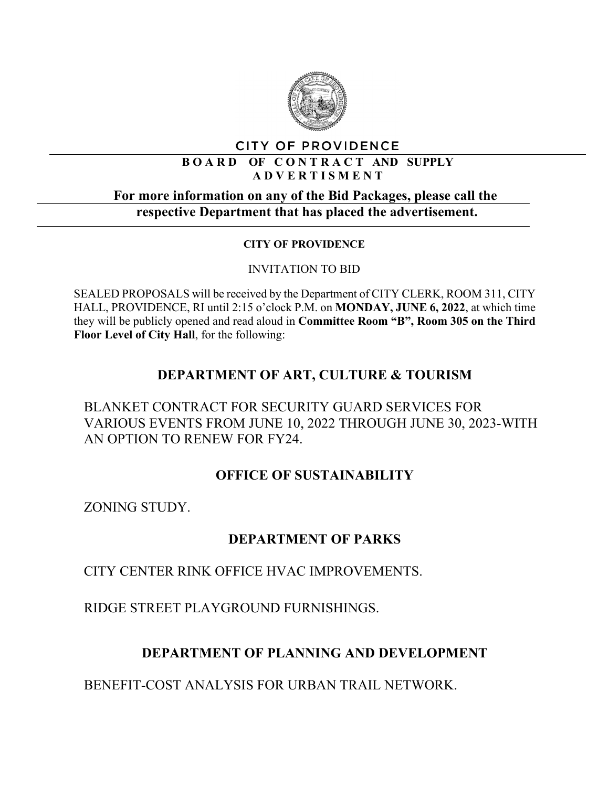

#### CITY OF PROVIDENCE

#### **B O A R D OF C O N T R A C T AND SUPPLY A D V E R T I S M E N T**

### **For more information on any of the Bid Packages, please call the respective Department that has placed the advertisement.**

#### **CITY OF PROVIDENCE**

#### INVITATION TO BID

SEALED PROPOSALS will be received by the Department of CITY CLERK, ROOM 311, CITY HALL, PROVIDENCE, RI until 2:15 o'clock P.M. on **MONDAY, JUNE 6, 2022**, at which time they will be publicly opened and read aloud in **Committee Room "B", Room 305 on the Third Floor Level of City Hall**, for the following:

# **DEPARTMENT OF ART, CULTURE & TOURISM**

BLANKET CONTRACT FOR SECURITY GUARD SERVICES FOR VARIOUS EVENTS FROM JUNE 10, 2022 THROUGH JUNE 30, 2023-WITH AN OPTION TO RENEW FOR FY24.

### **OFFICE OF SUSTAINABILITY**

ZONING STUDY.

### **DEPARTMENT OF PARKS**

CITY CENTER RINK OFFICE HVAC IMPROVEMENTS.

RIDGE STREET PLAYGROUND FURNISHINGS.

# **DEPARTMENT OF PLANNING AND DEVELOPMENT**

BENEFIT-COST ANALYSIS FOR URBAN TRAIL NETWORK.